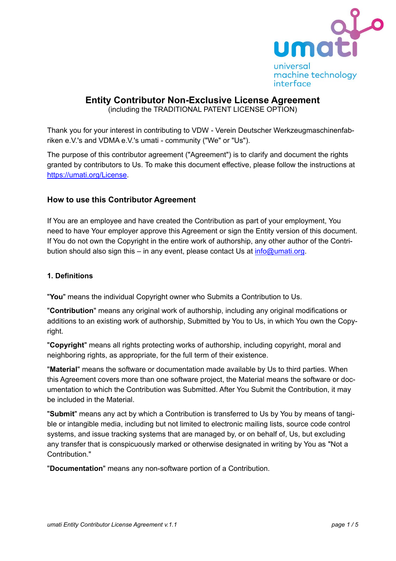

# **Entity Contributor Non-Exclusive License Agreement**

(including the TRADITIONAL PATENT LICENSE OPTION)

Thank you for your interest in contributing to VDW - Verein Deutscher Werkzeugmaschinenfabriken e.V.'s and VDMA e.V.'s umati - community ("We" or "Us").

The purpose of this contributor agreement ("Agreement") is to clarify and document the rights granted by contributors to Us. To make this document effective, please follow the instructions at [https://umati.org/License.](https://umati.org/License)

## **How to use this Contributor Agreement**

If You are an employee and have created the Contribution as part of your employment, You need to have Your employer approve this Agreement or sign the Entity version of this document. If You do not own the Copyright in the entire work of authorship, any other author of the Contribution should also sign this – in any event, please contact Us at  $info@$ umati.org.

### **1. Definitions**

"**You**" means the individual Copyright owner who Submits a Contribution to Us.

"**Contribution**" means any original work of authorship, including any original modifications or additions to an existing work of authorship, Submitted by You to Us, in which You own the Copyright.

"**Copyright**" means all rights protecting works of authorship, including copyright, moral and neighboring rights, as appropriate, for the full term of their existence.

"**Material**" means the software or documentation made available by Us to third parties. When this Agreement covers more than one software project, the Material means the software or documentation to which the Contribution was Submitted. After You Submit the Contribution, it may be included in the Material.

"**Submit**" means any act by which a Contribution is transferred to Us by You by means of tangible or intangible media, including but not limited to electronic mailing lists, source code control systems, and issue tracking systems that are managed by, or on behalf of, Us, but excluding any transfer that is conspicuously marked or otherwise designated in writing by You as "Not a Contribution."

"**Documentation**" means any non-software portion of a Contribution.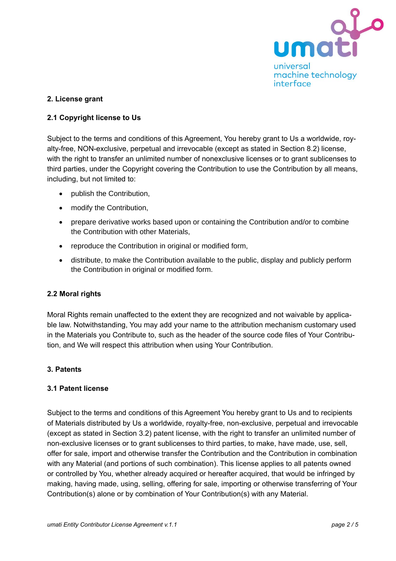

### **2. License grant**

### **2.1 Copyright license to Us**

Subject to the terms and conditions of this Agreement, You hereby grant to Us a worldwide, royalty-free, NON-exclusive, perpetual and irrevocable (except as stated in Section 8.2) license, with the right to transfer an unlimited number of nonexclusive licenses or to grant sublicenses to third parties, under the Copyright covering the Contribution to use the Contribution by all means, including, but not limited to:

- publish the Contribution,
- modify the Contribution,
- prepare derivative works based upon or containing the Contribution and/or to combine the Contribution with other Materials,
- reproduce the Contribution in original or modified form,
- distribute, to make the Contribution available to the public, display and publicly perform the Contribution in original or modified form.

#### **2.2 Moral rights**

Moral Rights remain unaffected to the extent they are recognized and not waivable by applicable law. Notwithstanding, You may add your name to the attribution mechanism customary used in the Materials you Contribute to, such as the header of the source code files of Your Contribution, and We will respect this attribution when using Your Contribution.

#### **3. Patents**

#### **3.1 Patent license**

Subject to the terms and conditions of this Agreement You hereby grant to Us and to recipients of Materials distributed by Us a worldwide, royalty-free, non-exclusive, perpetual and irrevocable (except as stated in Section 3.2) patent license, with the right to transfer an unlimited number of non-exclusive licenses or to grant sublicenses to third parties, to make, have made, use, sell, offer for sale, import and otherwise transfer the Contribution and the Contribution in combination with any Material (and portions of such combination). This license applies to all patents owned or controlled by You, whether already acquired or hereafter acquired, that would be infringed by making, having made, using, selling, offering for sale, importing or otherwise transferring of Your Contribution(s) alone or by combination of Your Contribution(s) with any Material.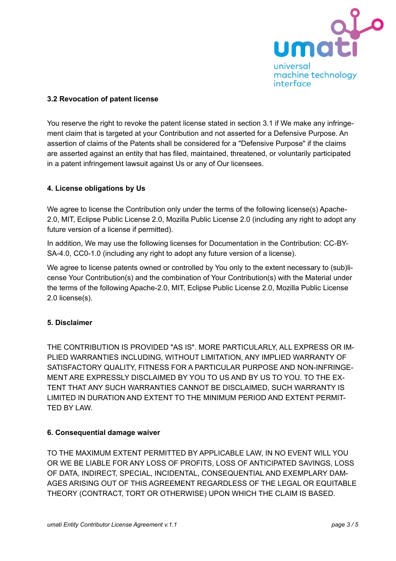

### **3.2 Revocation of patent license**

You reserve the right to revoke the patent license stated in section 3.1 if We make any infringement claim that is targeted at your Contribution and not asserted for a Defensive Purpose. An assertion of claims of the Patents shall be considered for a "Defensive Purpose" if the claims are asserted against an entity that has filed, maintained, threatened, or voluntarily participated in a patent infringement lawsuit against Us or any of Our licensees.

### **4. License obligations by Us**

We agree to license the Contribution only under the terms of the following license(s) Apache-2.0, MIT, Eclipse Public License 2.0, Mozilla Public License 2.0 (including any right to adopt any future version of a license if permitted).

In addition, We may use the following licenses for Documentation in the Contribution: CC-BY-SA-4.0, CC0-1.0 (including any right to adopt any future version of a license).

We agree to license patents owned or controlled by You only to the extent necessary to (sub)license Your Contribution(s) and the combination of Your Contribution(s) with the Material under the terms of the following Apache-2.0, MIT, Eclipse Public License 2.0, Mozilla Public License 2.0 license(s).

#### **5. Disclaimer**

THE CONTRIBUTION IS PROVIDED "AS IS". MORE PARTICULARLY, ALL EXPRESS OR IM-PLIED WARRANTIES INCLUDING, WITHOUT LIMITATION, ANY IMPLIED WARRANTY OF SATISFACTORY QUALITY, FITNESS FOR A PARTICULAR PURPOSE AND NON-INFRINGE-MENT ARE EXPRESSLY DISCLAIMED BY YOU TO US AND BY US TO YOU. TO THE EX-TENT THAT ANY SUCH WARRANTIES CANNOT BE DISCLAIMED, SUCH WARRANTY IS LIMITED IN DURATION AND EXTENT TO THE MINIMUM PERIOD AND EXTENT PERMIT-TED BY LAW.

#### **6. Consequential damage waiver**

TO THE MAXIMUM EXTENT PERMITTED BY APPLICABLE LAW, IN NO EVENT WILL YOU OR WE BE LIABLE FOR ANY LOSS OF PROFITS, LOSS OF ANTICIPATED SAVINGS, LOSS OF DATA, INDIRECT, SPECIAL, INCIDENTAL, CONSEQUENTIAL AND EXEMPLARY DAM-AGES ARISING OUT OF THIS AGREEMENT REGARDLESS OF THE LEGAL OR EQUITABLE THEORY (CONTRACT, TORT OR OTHERWISE) UPON WHICH THE CLAIM IS BASED.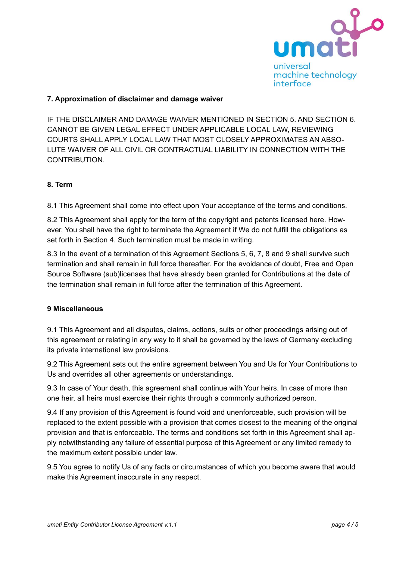

### **7. Approximation of disclaimer and damage waiver**

IF THE DISCLAIMER AND DAMAGE WAIVER MENTIONED IN SECTION 5. AND SECTION 6. CANNOT BE GIVEN LEGAL EFFECT UNDER APPLICABLE LOCAL LAW, REVIEWING COURTS SHALL APPLY LOCAL LAW THAT MOST CLOSELY APPROXIMATES AN ABSO-LUTE WAIVER OF ALL CIVIL OR CONTRACTUAL LIABILITY IN CONNECTION WITH THE CONTRIBUTION.

#### **8. Term**

8.1 This Agreement shall come into effect upon Your acceptance of the terms and conditions.

8.2 This Agreement shall apply for the term of the copyright and patents licensed here. However, You shall have the right to terminate the Agreement if We do not fulfill the obligations as set forth in Section 4. Such termination must be made in writing.

8.3 In the event of a termination of this Agreement Sections 5, 6, 7, 8 and 9 shall survive such termination and shall remain in full force thereafter. For the avoidance of doubt, Free and Open Source Software (sub)licenses that have already been granted for Contributions at the date of the termination shall remain in full force after the termination of this Agreement.

#### **9 Miscellaneous**

9.1 This Agreement and all disputes, claims, actions, suits or other proceedings arising out of this agreement or relating in any way to it shall be governed by the laws of Germany excluding its private international law provisions.

9.2 This Agreement sets out the entire agreement between You and Us for Your Contributions to Us and overrides all other agreements or understandings.

9.3 In case of Your death, this agreement shall continue with Your heirs. In case of more than one heir, all heirs must exercise their rights through a commonly authorized person.

9.4 If any provision of this Agreement is found void and unenforceable, such provision will be replaced to the extent possible with a provision that comes closest to the meaning of the original provision and that is enforceable. The terms and conditions set forth in this Agreement shall apply notwithstanding any failure of essential purpose of this Agreement or any limited remedy to the maximum extent possible under law.

9.5 You agree to notify Us of any facts or circumstances of which you become aware that would make this Agreement inaccurate in any respect.